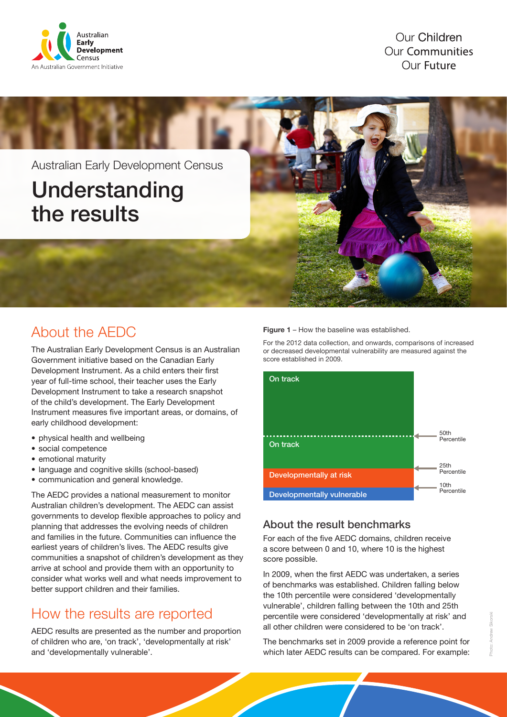

**Our Children Our Communities** Our Future

Australian Early Development Census Understanding the results

## About the AEDC

The Australian Early Development Census is an Australian Government initiative based on the Canadian Early Development Instrument. As a child enters their first year of full-time school, their teacher uses the Early Development Instrument to take a research snapshot of the child's development. The Early Development Instrument measures five important areas, or domains, of early childhood development:

- physical health and wellbeing
- social competence
- emotional maturity
- language and cognitive skills (school-based)
- communication and general knowledge.

The AEDC provides a national measurement to monitor Australian children's development. The AEDC can assist governments to develop flexible approaches to policy and planning that addresses the evolving needs of children and families in the future. Communities can influence the earliest years of children's lives. The AEDC results give communities a snapshot of children's development as they arrive at school and provide them with an opportunity to consider what works well and what needs improvement to better support children and their families.

### How the results are reported

AEDC results are presented as the number and proportion of children who are, 'on track', 'developmentally at risk' and 'developmentally vulnerable'.

#### Figure 1 – How the baseline was established.

For the 2012 data collection, and onwards, comparisons of increased or decreased developmental vulnerability are measured against the score established in 2009.



#### About the result benchmarks

For each of the five AEDC domains, children receive a score between 0 and 10, where 10 is the highest score possible.

In 2009, when the first AEDC was undertaken, a series of benchmarks was established. Children falling below the 10th percentile were considered 'developmentally vulnerable', children falling between the 10th and 25th percentile were considered 'developmentally at risk' and all other children were considered to be 'on track'.

The benchmarks set in 2009 provide a reference point for which later AEDC results can be compared. For example: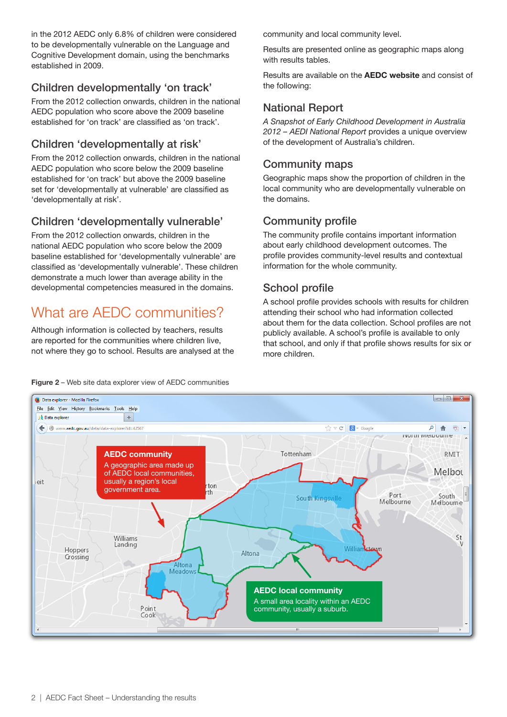in the 2012 AEDC only 6.8% of children were considered to be developmentally vulnerable on the Language and Cognitive Development domain, using the benchmarks established in 2009.

### Children developmentally 'on track'

From the 2012 collection onwards, children in the national AEDC population who score above the 2009 baseline established for 'on track' are classified as 'on track'.

#### Children 'developmentally at risk'

From the 2012 collection onwards, children in the national AEDC population who score below the 2009 baseline established for 'on track' but above the 2009 baseline set for 'developmentally at vulnerable' are classified as 'developmentally at risk'.

#### Children 'developmentally vulnerable'

From the 2012 collection onwards, children in the national AEDC population who score below the 2009 baseline established for 'developmentally vulnerable' are classified as 'developmentally vulnerable'. These children demonstrate a much lower than average ability in the developmental competencies measured in the domains.

# What are AFDC communities?

Although information is collected by teachers, results are reported for the communities where children live, not where they go to school. Results are analysed at the community and local community level.

Results are presented online as geographic maps along with results tables.

Results are available on the [AEDC website](http://www.aedc.gov.au) and consist of the following:

### National Report

*A Snapshot of Early Childhood Development in Australia 2012 – AEDI National Report* provides a unique overview of the development of Australia's children.

#### Community maps

Geographic maps show the proportion of children in the local community who are developmentally vulnerable on the domains.

#### Community profile

The community profile contains important information about early childhood development outcomes. The profile provides community-level results and contextual information for the whole community.

### School profile

A school profile provides schools with results for children attending their school who had information collected about them for the data collection. School profiles are not publicly available. A school's profile is available to only that school, and only if that profile shows results for six or more children.



#### Figure 2 – Web site data explorer view of AEDC communities